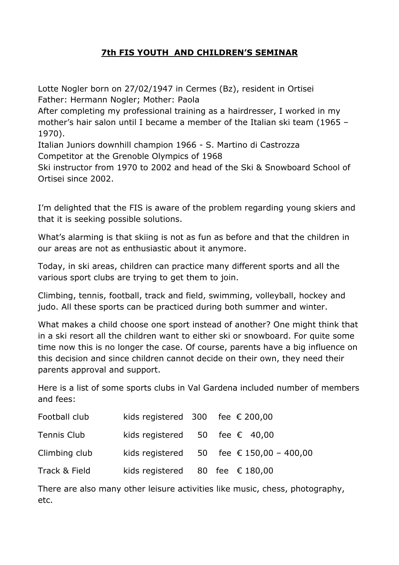# **7th FIS YOUTH AND CHILDREN'S SEMINAR**

Lotte Nogler born on 27/02/1947 in Cermes (Bz), resident in Ortisei Father: Hermann Nogler; Mother: Paola After completing my professional training as a hairdresser, I worked in my mother's hair salon until I became a member of the Italian ski team (1965 – 1970). Italian Juniors downhill champion 1966 - S. Martino di Castrozza Competitor at the Grenoble Olympics of 1968

Ski instructor from 1970 to 2002 and head of the Ski & Snowboard School of Ortisei since 2002.

I'm delighted that the FIS is aware of the problem regarding young skiers and that it is seeking possible solutions.

What's alarming is that skiing is not as fun as before and that the children in our areas are not as enthusiastic about it anymore.

Today, in ski areas, children can practice many different sports and all the various sport clubs are trying to get them to join.

Climbing, tennis, football, track and field, swimming, volleyball, hockey and judo. All these sports can be practiced during both summer and winter.

What makes a child choose one sport instead of another? One might think that in a ski resort all the children want to either ski or snowboard. For quite some time now this is no longer the case. Of course, parents have a big influence on this decision and since children cannot decide on their own, they need their parents approval and support.

Here is a list of some sports clubs in Val Gardena included number of members and fees:

| Football club | kids registered $300$ fee $\epsilon$ 200,00 |  |                                          |
|---------------|---------------------------------------------|--|------------------------------------------|
| Tennis Club   | kids registered $50$ fee $\epsilon$ 40,00   |  |                                          |
| Climbing club |                                             |  | kids registered 50 fee € 150,00 - 400,00 |
| Track & Field | kids registered 80 fee $\epsilon$ 180,00    |  |                                          |

There are also many other leisure activities like music, chess, photography, etc.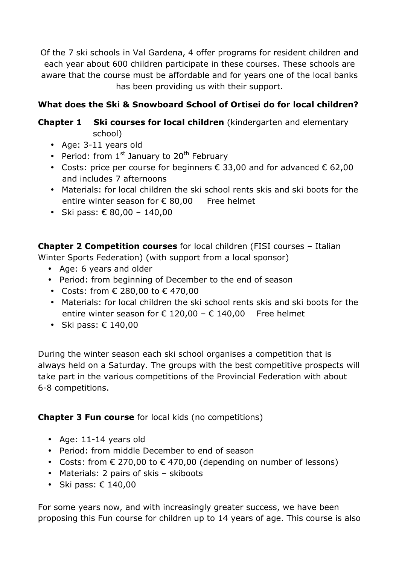Of the 7 ski schools in Val Gardena, 4 offer programs for resident children and each year about 600 children participate in these courses. These schools are aware that the course must be affordable and for years one of the local banks has been providing us with their support.

# **What does the Ski & Snowboard School of Ortisei do for local children?**

# **Chapter 1 Ski courses for local children** (kindergarten and elementary school)

- Age: 3-11 years old
- Period: from  $1^{st}$  January to  $20^{th}$  February
- Costs: price per course for beginners  $\epsilon$  33,00 and for advanced  $\epsilon$  62,00 and includes 7 afternoons
- Materials: for local children the ski school rents skis and ski boots for the entire winter season for  $\epsilon$  80,00 Free helmet
- Ski pass:  $€ 80,00 140,00$

**Chapter 2 Competition courses** for local children (FISI courses – Italian Winter Sports Federation) (with support from a local sponsor)

- Age: 6 years and older
- Period: from beginning of December to the end of season
- Costs: from  $\epsilon$  280,00 to  $\epsilon$  470,00
- Materials: for local children the ski school rents skis and ski boots for the entire winter season for € 120,00 - € 140,00 Free helmet
- Ski pass:  $€ 140,00$

During the winter season each ski school organises a competition that is always held on a Saturday. The groups with the best competitive prospects will take part in the various competitions of the Provincial Federation with about 6-8 competitions.

# **Chapter 3 Fun course** for local kids (no competitions)

- Age: 11-14 years old
- Period: from middle December to end of season
- Costs: from  $€ 270,00$  to  $€ 470,00$  (depending on number of lessons)
- Materials: 2 pairs of skis skiboots
- Ski pass:  $€ 140,00$

For some years now, and with increasingly greater success, we have been proposing this Fun course for children up to 14 years of age. This course is also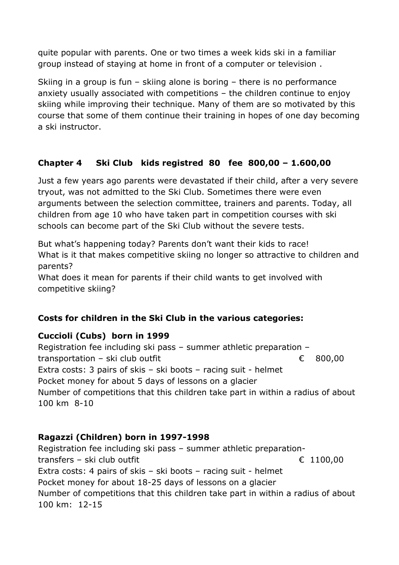quite popular with parents. One or two times a week kids ski in a familiar group instead of staying at home in front of a computer or television .

Skiing in a group is fun – skiing alone is boring – there is no performance anxiety usually associated with competitions – the children continue to enjoy skiing while improving their technique. Many of them are so motivated by this course that some of them continue their training in hopes of one day becoming a ski instructor.

# **Chapter 4 Ski Club kids registred 80 fee 800,00 – 1.600,00**

Just a few years ago parents were devastated if their child, after a very severe tryout, was not admitted to the Ski Club. Sometimes there were even arguments between the selection committee, trainers and parents. Today, all children from age 10 who have taken part in competition courses with ski schools can become part of the Ski Club without the severe tests.

But what's happening today? Parents don't want their kids to race! What is it that makes competitive skiing no longer so attractive to children and parents?

What does it mean for parents if their child wants to get involved with competitive skiing?

# **Costs for children in the Ski Club in the various categories:**

#### **Cuccioli (Cubs) born in 1999**

Registration fee including ski pass – summer athletic preparation – transportation – ski club outfit  $\epsilon$  800,00 Extra costs: 3 pairs of skis – ski boots – racing suit - helmet Pocket money for about 5 days of lessons on a glacier Number of competitions that this children take part in within a radius of about 100 km 8-10

# **Ragazzi (Children) born in 1997-1998**

Registration fee including ski pass – summer athletic preparationtransfers – ski club outfit  $\epsilon$  1100,00 Extra costs: 4 pairs of skis – ski boots – racing suit - helmet Pocket money for about 18-25 days of lessons on a glacier Number of competitions that this children take part in within a radius of about 100 km: 12-15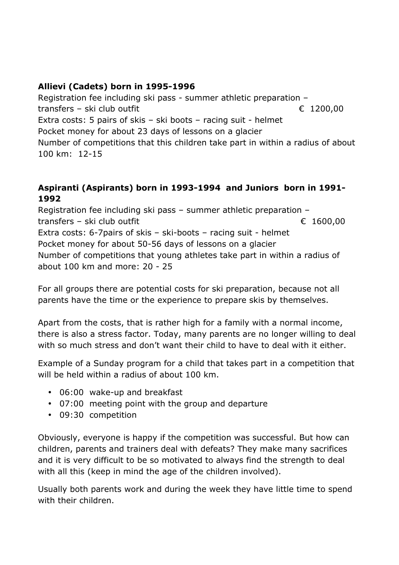# **Allievi (Cadets) born in 1995-1996**

Registration fee including ski pass - summer athletic preparation – transfers – ski club outfit  $\epsilon$  1200,00 Extra costs: 5 pairs of skis – ski boots – racing suit - helmet Pocket money for about 23 days of lessons on a glacier Number of competitions that this children take part in within a radius of about 100 km: 12-15

#### **Aspiranti (Aspirants) born in 1993-1994 and Juniors born in 1991- 1992**

Registration fee including ski pass – summer athletic preparation – transfers – ski club outfit  $\epsilon$  1600,00 Extra costs: 6-7pairs of skis – ski-boots – racing suit - helmet Pocket money for about 50-56 days of lessons on a glacier Number of competitions that young athletes take part in within a radius of about 100 km and more: 20 - 25

For all groups there are potential costs for ski preparation, because not all parents have the time or the experience to prepare skis by themselves.

Apart from the costs, that is rather high for a family with a normal income, there is also a stress factor. Today, many parents are no longer willing to deal with so much stress and don't want their child to have to deal with it either.

Example of a Sunday program for a child that takes part in a competition that will be held within a radius of about 100 km.

- 06:00 wake-up and breakfast
- 07:00 meeting point with the group and departure
- 09:30 competition

Obviously, everyone is happy if the competition was successful. But how can children, parents and trainers deal with defeats? They make many sacrifices and it is very difficult to be so motivated to always find the strength to deal with all this (keep in mind the age of the children involved).

Usually both parents work and during the week they have little time to spend with their children.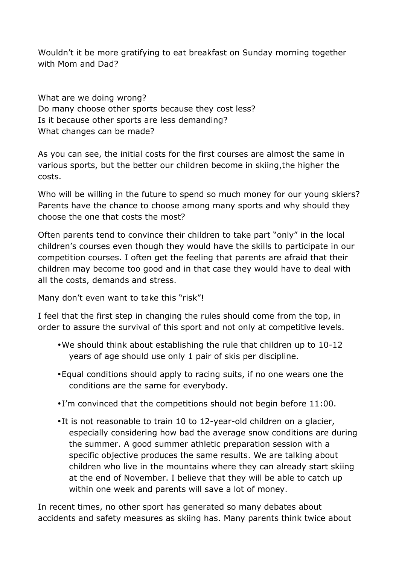Wouldn't it be more gratifying to eat breakfast on Sunday morning together with Mom and Dad?

What are we doing wrong? Do many choose other sports because they cost less? Is it because other sports are less demanding? What changes can be made?

As you can see, the initial costs for the first courses are almost the same in various sports, but the better our children become in skiing,the higher the costs.

Who will be willing in the future to spend so much money for our young skiers? Parents have the chance to choose among many sports and why should they choose the one that costs the most?

Often parents tend to convince their children to take part "only" in the local children's courses even though they would have the skills to participate in our competition courses. I often get the feeling that parents are afraid that their children may become too good and in that case they would have to deal with all the costs, demands and stress.

Many don't even want to take this "risk"!

I feel that the first step in changing the rules should come from the top, in order to assure the survival of this sport and not only at competitive levels.

- •We should think about establishing the rule that children up to 10-12 years of age should use only 1 pair of skis per discipline.
- •Equal conditions should apply to racing suits, if no one wears one the conditions are the same for everybody.
- I'm convinced that the competitions should not begin before 11:00.
- It is not reasonable to train 10 to 12-year-old children on a glacier, especially considering how bad the average snow conditions are during the summer. A good summer athletic preparation session with a specific objective produces the same results. We are talking about children who live in the mountains where they can already start skiing at the end of November. I believe that they will be able to catch up within one week and parents will save a lot of money.

In recent times, no other sport has generated so many debates about accidents and safety measures as skiing has. Many parents think twice about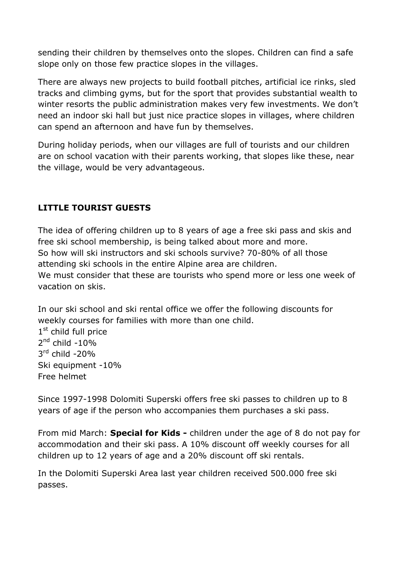sending their children by themselves onto the slopes. Children can find a safe slope only on those few practice slopes in the villages.

There are always new projects to build football pitches, artificial ice rinks, sled tracks and climbing gyms, but for the sport that provides substantial wealth to winter resorts the public administration makes very few investments. We don't need an indoor ski hall but just nice practice slopes in villages, where children can spend an afternoon and have fun by themselves.

During holiday periods, when our villages are full of tourists and our children are on school vacation with their parents working, that slopes like these, near the village, would be very advantageous.

# **LITTLE TOURIST GUESTS**

The idea of offering children up to 8 years of age a free ski pass and skis and free ski school membership, is being talked about more and more. So how will ski instructors and ski schools survive? 70-80% of all those attending ski schools in the entire Alpine area are children. We must consider that these are tourists who spend more or less one week of vacation on skis.

In our ski school and ski rental office we offer the following discounts for weekly courses for families with more than one child. 1<sup>st</sup> child full price  $2<sup>nd</sup>$  child -10% 3 rd child -20% Ski equipment -10% Free helmet

Since 1997-1998 Dolomiti Superski offers free ski passes to children up to 8 years of age if the person who accompanies them purchases a ski pass.

From mid March: **Special for Kids -** children under the age of 8 do not pay for accommodation and their ski pass. A 10% discount off weekly courses for all children up to 12 years of age and a 20% discount off ski rentals.

In the Dolomiti Superski Area last year children received 500.000 free ski passes.